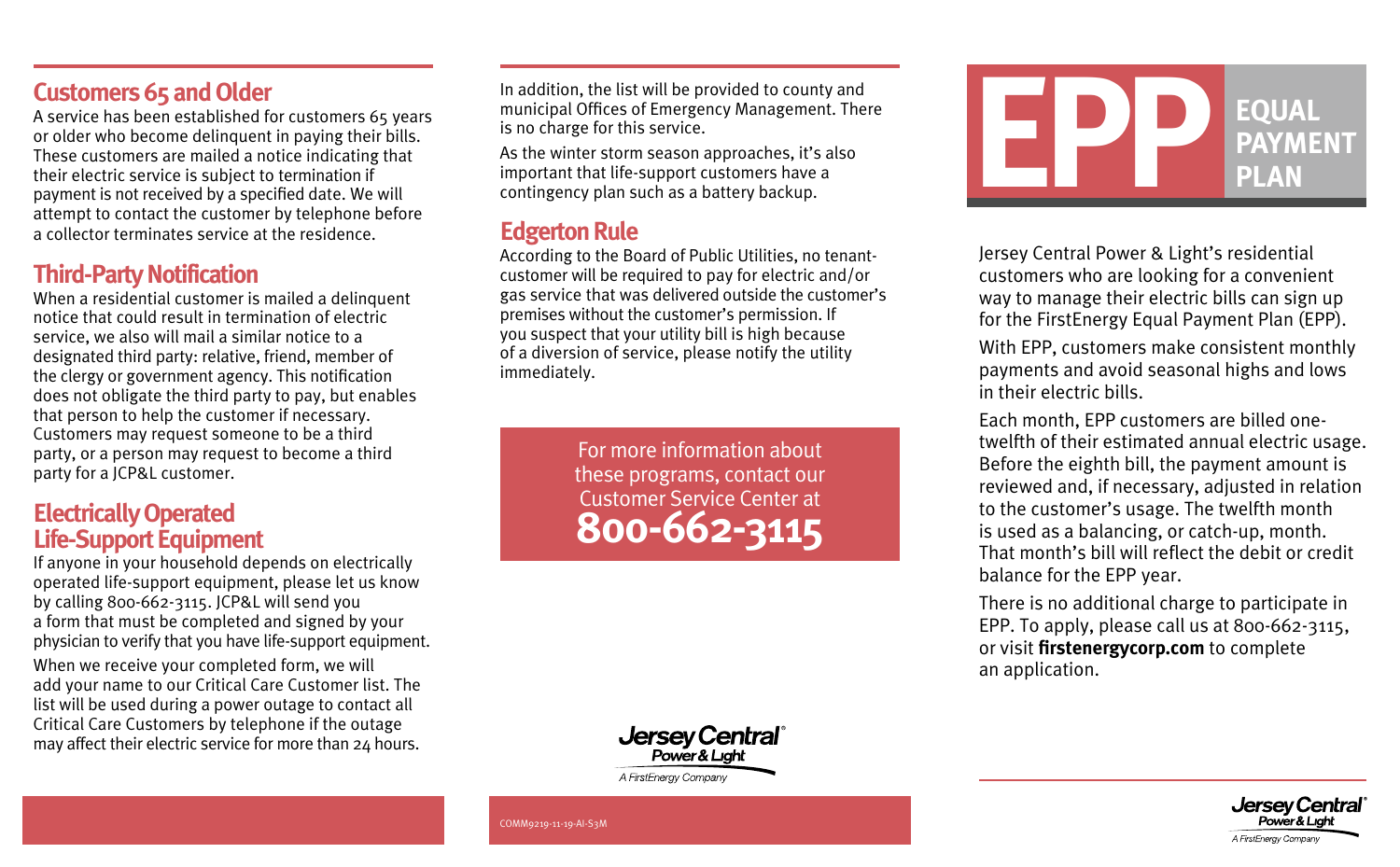### **Customers 65 and Older**

A service has been established for customers 65 years or older who become delinquent in paying their bills. These customers are mailed a notice indicating that their electric service is subject to termination if payment is not received by a specified date. We will attempt to contact the customer by telephone before a collector terminates service at the residence.

### **Third-Party Notification**

When a residential customer is mailed a delinquent notice that could result in termination of electric service, we also will mail a similar notice to a designated third party: relative, friend, member of the clergy or government agency. This notification does not obligate the third party to pay, but enables that person to help the customer if necessary. Customers may request someone to be a third party, or a person may request to become a third party for a JCP&L customer.

### **Electrically Operated Life-Support Equipment**

If anyone in your household depends on electrically operated life-support equipment, please let us know by calling 800-662-3115. JCP&L will send you a form that must be completed and signed by your physician to verify that you have life-support equipment.

When we receive your completed form, we will add your name to our Critical Care Customer list. The list will be used during a power outage to contact all Critical Care Customers by telephone if the outage may affect their electric service for more than 24 hours.

In addition, the list will be provided to county and municipal Offices of Emergency Management. There is no charge for this service.

As the winter storm season approaches, it's also important that life-support customers have a contingency plan such as a battery backup.

### **Edgerton Rule**

According to the Board of Public Utilities, no tenantcustomer will be required to pay for electric and/or gas service that was delivered outside the customer's premises without the customer's permission. If you suspect that your utility bill is high because of a diversion of service, please notify the utility immediately.

> For more information about these programs, contact our Customer Service Center at **800-662-3115**



A FirstEnergy Company



Jersey Central Power & Light's residential customers who are looking for a convenient way to manage their electric bills can sign up for the FirstEnergy Equal Payment Plan (EPP). With EPP, customers make consistent monthly payments and avoid seasonal highs and lows

in their electric bills.

Each month, EPP customers are billed onetwelfth of their estimated annual electric usage. Before the eighth bill, the payment amount is reviewed and, if necessary, adjusted in relation to the customer's usage. The twelfth month is used as a balancing, or catch-up, month. That month's bill will reflect the debit or credit balance for the EPP year.

There is no additional charge to participate in EPP. To apply, please call us at 800-662-3115, or visit **[firstenergycorp.com](https://www.firstenergycorp.com/fehome.html)** to complete an application.



COMM9219-11-19-AI-S3M